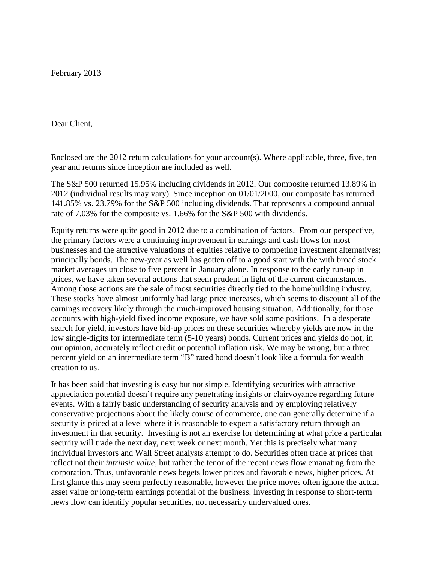February 2013

Dear Client,

Enclosed are the 2012 return calculations for your account(s). Where applicable, three, five, ten year and returns since inception are included as well.

The S&P 500 returned 15.95% including dividends in 2012. Our composite returned 13.89% in 2012 (individual results may vary). Since inception on 01/01/2000, our composite has returned 141.85% vs. 23.79% for the S&P 500 including dividends. That represents a compound annual rate of 7.03% for the composite vs. 1.66% for the S&P 500 with dividends.

Equity returns were quite good in 2012 due to a combination of factors. From our perspective, the primary factors were a continuing improvement in earnings and cash flows for most businesses and the attractive valuations of equities relative to competing investment alternatives; principally bonds. The new-year as well has gotten off to a good start with the with broad stock market averages up close to five percent in January alone. In response to the early run-up in prices, we have taken several actions that seem prudent in light of the current circumstances. Among those actions are the sale of most securities directly tied to the homebuilding industry. These stocks have almost uniformly had large price increases, which seems to discount all of the earnings recovery likely through the much-improved housing situation. Additionally, for those accounts with high-yield fixed income exposure, we have sold some positions. In a desperate search for yield, investors have bid-up prices on these securities whereby yields are now in the low single-digits for intermediate term (5-10 years) bonds. Current prices and yields do not, in our opinion, accurately reflect credit or potential inflation risk. We may be wrong, but a three percent yield on an intermediate term "B" rated bond doesn't look like a formula for wealth creation to us.

It has been said that investing is easy but not simple. Identifying securities with attractive appreciation potential doesn't require any penetrating insights or clairvoyance regarding future events. With a fairly basic understanding of security analysis and by employing relatively conservative projections about the likely course of commerce, one can generally determine if a security is priced at a level where it is reasonable to expect a satisfactory return through an investment in that security. Investing is not an exercise for determining at what price a particular security will trade the next day, next week or next month. Yet this is precisely what many individual investors and Wall Street analysts attempt to do. Securities often trade at prices that reflect not their *intrinsic value,* but rather the tenor of the recent news flow emanating from the corporation. Thus, unfavorable news begets lower prices and favorable news, higher prices. At first glance this may seem perfectly reasonable, however the price moves often ignore the actual asset value or long-term earnings potential of the business. Investing in response to short-term news flow can identify popular securities, not necessarily undervalued ones.